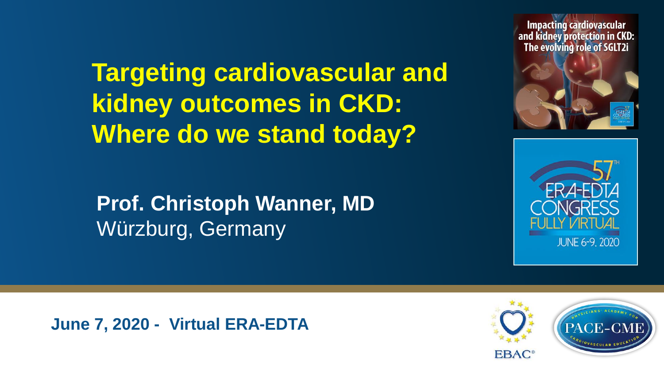**Targeting cardiovascular and kidney outcomes in CKD: Where do we stand today?**

**Prof. Christoph Wanner, MD** Würzburg, Germany

**Impacting cardiovascular** and kidney protection in CKD: The evolving role of SGLT2i





**June 7, 2020 - Virtual ERA-EDTA**

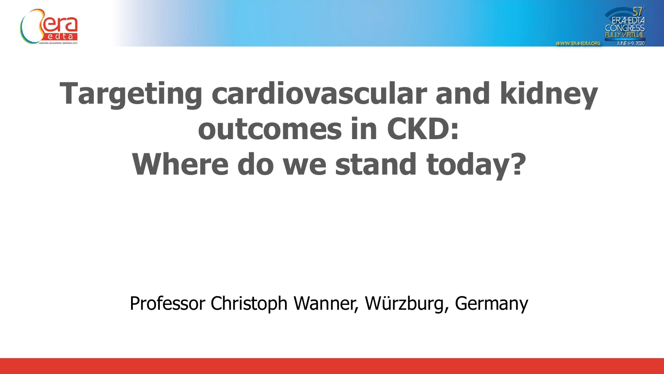



# **Targeting cardiovascular and kidney outcomes in CKD: Where do we stand today?**

Professor Christoph Wanner, Würzburg, Germany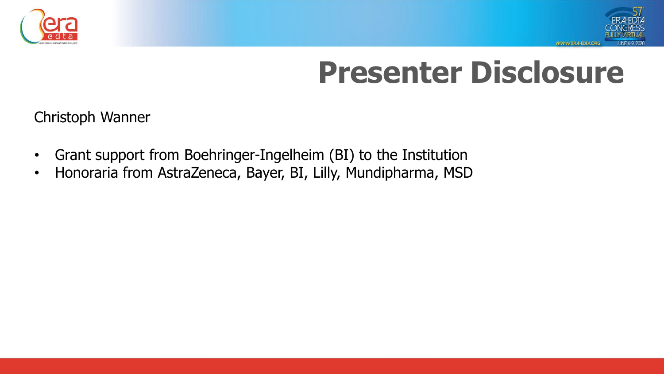



# **Presenter Disclosure**

Christoph Wanner

- Grant support from Boehringer-Ingelheim (BI) to the Institution
- Honoraria from AstraZeneca, Bayer, BI, Lilly, Mundipharma, MSD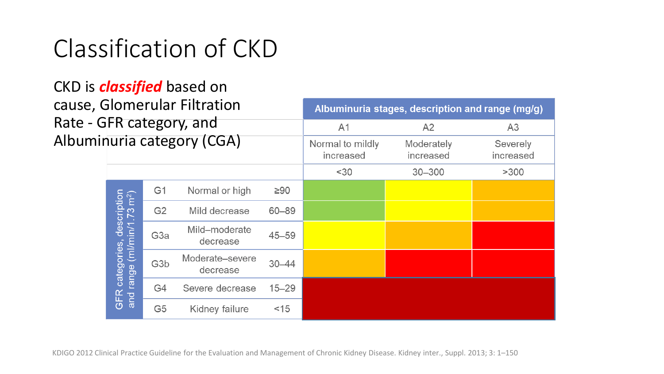## Classification of CKD

#### CKD is *classified* based on cause, Glomerular Filtration Rate - GI Albumin

|                                                                        |                  |                             | Albuminuna stages, description and range (mg/g) |                         |                       |                |
|------------------------------------------------------------------------|------------------|-----------------------------|-------------------------------------------------|-------------------------|-----------------------|----------------|
|                                                                        |                  | FR category, and            |                                                 | A1                      | A <sub>2</sub>        | A <sub>3</sub> |
| uria category (CGA)                                                    |                  |                             | Normal to mildly<br>increased                   | Moderately<br>increased | Severely<br>increased |                |
|                                                                        |                  |                             |                                                 | $30$                    | $30 - 300$            | >300           |
|                                                                        | G <sub>1</sub>   | Normal or high              | $\geq 90$                                       |                         |                       |                |
| GFR categories, description<br>and range (ml/min/1.73 m <sup>2</sup> ) | G <sub>2</sub>   | Mild decrease               | 60-89                                           |                         |                       |                |
|                                                                        | G <sub>3a</sub>  | Mild-moderate<br>decrease   | $45 - 59$                                       |                         |                       |                |
|                                                                        | G <sub>3</sub> b | Moderate-severe<br>decrease | $30 - 44$                                       |                         |                       |                |
|                                                                        | G4               | Severe decrease             | $15 - 29$                                       |                         |                       |                |
|                                                                        | G <sub>5</sub>   | Kidney failure              | < 15                                            |                         |                       |                |
|                                                                        |                  |                             |                                                 |                         |                       |                |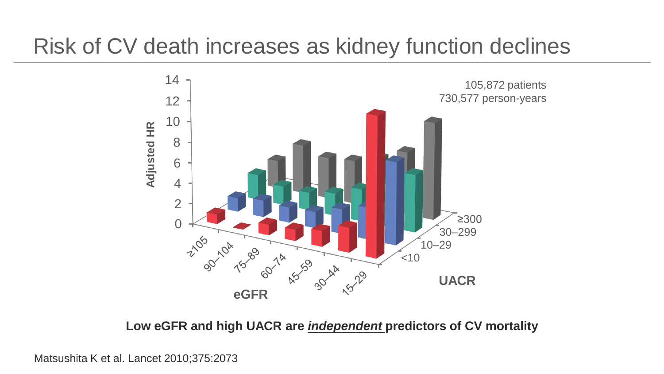### Risk of CV death increases as kidney function declines



Matsushita K et al. Lancet 2010;375:2073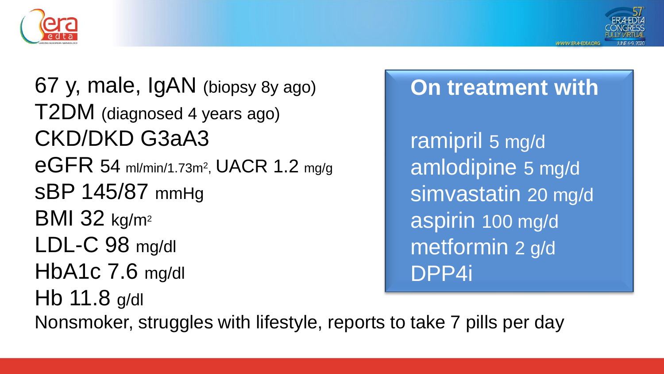



67 y, male, IgAN (biopsy 8y ago) T2DM (diagnosed 4 years ago) CKD/DKD G3aA3 eGFR 54 ml/min/1.73m<sup>2</sup> , UACR 1.2 mg/g sBP 145/87 mmHg **BMI 32 kg/m<sup>2</sup>** LDL-C 98 mg/dl HbA1c 7.6 mg/dl Hb 11.8 g/dl Nonsmoker, struggles with lifestyle, reports to take 7 pills per day

## **On treatment with**

ramipril 5 mg/d amlodipine 5 mg/d simvastatin 20 mg/d aspirin 100 mg/d metformin 2 g/d DPP4i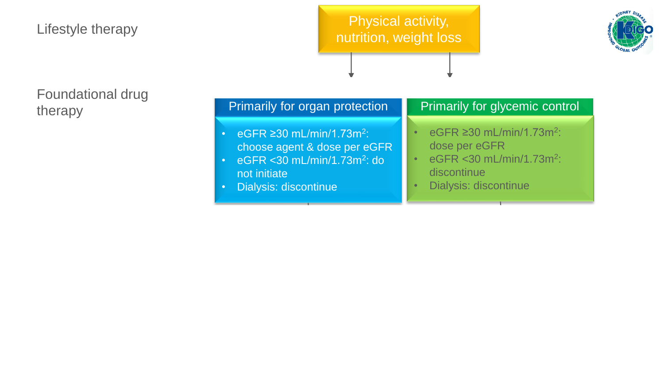#### Lifestyle therapy

#### Physical activity, nutrition, weight loss



#### Foundational drug therapy

| Primarily for organ protection                     | Primarily for glycemic control             |  |  |  |
|----------------------------------------------------|--------------------------------------------|--|--|--|
| $\cdot$ eGFR $\geq$ 30 mL/min/1.73m <sup>2</sup> : | eGFR $\geq$ 30 mL/min/1.73m <sup>2</sup> : |  |  |  |
| choose agent & dose per eGFR                       | dose per eGFR                              |  |  |  |
| $\cdot$ eGFR < 30 mL/min/1.73m <sup>2</sup> : do   | eGFR < 30 mL/min/1.73m <sup>2</sup> :      |  |  |  |
| not initiate                                       | discontinue                                |  |  |  |
| Dialysis: discontinue                              | Dialysis: discontinue                      |  |  |  |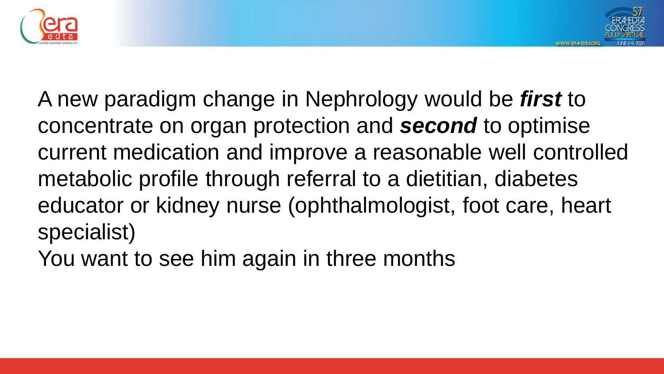



A new paradigm change in Nephrology would be *first* to concentrate on organ protection and *second* to optimise current medication and improve a reasonable well controlled metabolic profile through referral to a dietitian, diabetes educator or kidney nurse (ophthalmologist, foot care, heart specialist)

You want to see him again in three months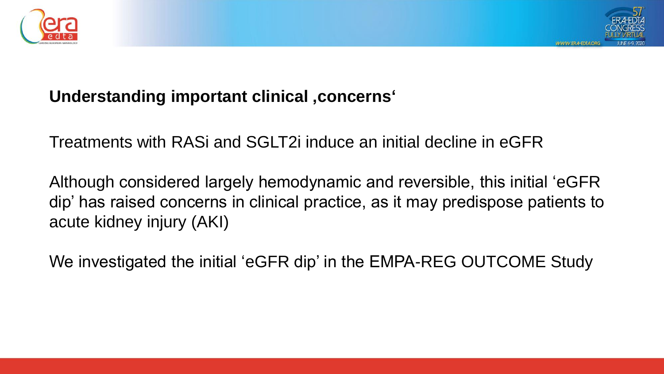



#### **Understanding important clinical 'concerns'**

Treatments with RASi and SGLT2i induce an initial decline in eGFR

Although considered largely hemodynamic and reversible, this initial 'eGFR dip' has raised concerns in clinical practice, as it may predispose patients to acute kidney injury (AKI)

We investigated the initial 'eGFR dip' in the EMPA-REG OUTCOME Study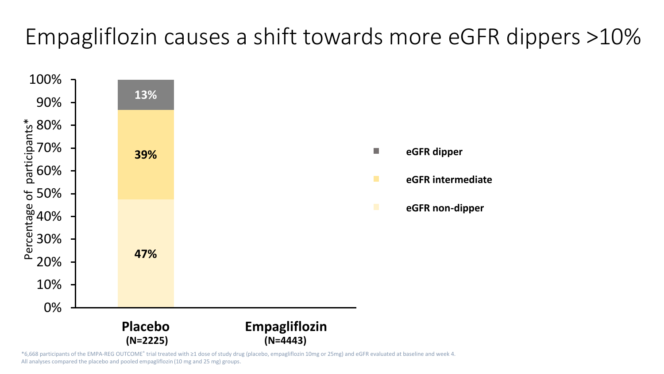## Empagliflozin causes a shift towards more eGFR dippers >10%



\*6,668 participants of the EMPA-REG OUTCOME® trial treated with ≥1 dose of study drug (placebo, empagliflozin 10mg or 25mg) and eGFR evaluated at baseline and week 4. All analyses compared the placebo and pooled empagliflozin (10 mg and 25 mg) groups.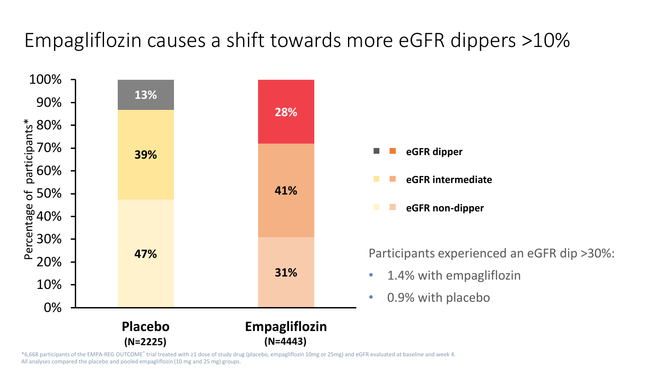### Empagliflozin causes a shift towards more eGFR dippers >10%



\*6,668 participants of the EMPA-REG OUTCOME® trial treated with ≥1 dose of study drug (placebo, empagliflozin 10mg or 25mg) and eGFR evaluated at baseline and week 4. All analyses compared the placebo and pooled empagliflozin (10 mg and 25 mg) groups.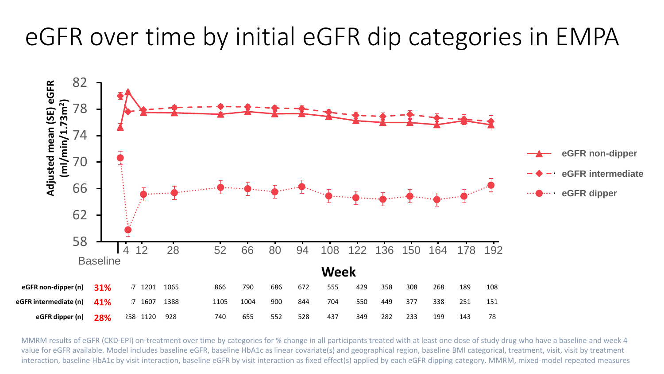### eGFR over time by initial eGFR dip categories in EMPA



MMRM results of eGFR (CKD-EPI) on-treatment over time by categories for % change in all participants treated with at least one dose of study drug who have a baseline and week 4 value for eGFR available. Model includes baseline eGFR, baseline HbA1c as linear covariate(s) and geographical region, baseline BMI categorical, treatment, visit, visit by treatment interaction, baseline HbA1c by visit interaction, baseline eGFR by visit interaction as fixed effect(s) applied by each eGFR dipping category. MMRM, mixed-model repeated measures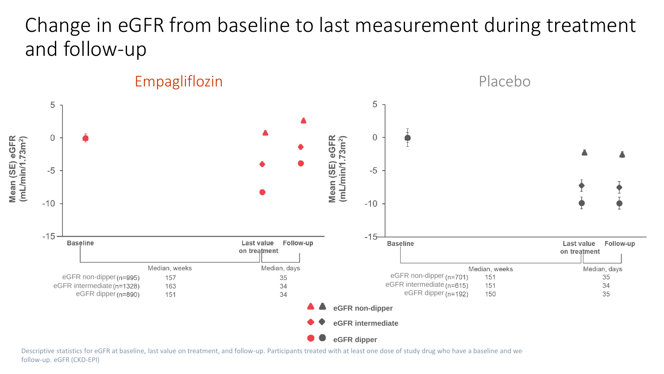### Change in eGFR from baseline to last measurement during treatment and follow-up



Descriptive statistics for eGFR at baseline, last value on treatment, and follow-up. Participants treated with at least one dose of study drug who have a baseline and we follow-up. eGFR (CKD-EPI)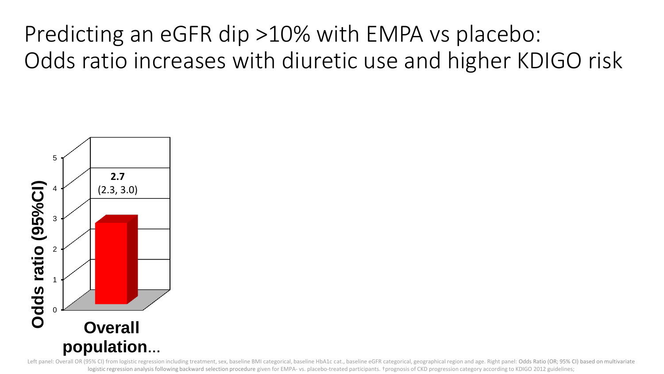Predicting an eGFR dip >10% with EMPA vs placebo: Odds ratio increases with diuretic use and higher KDIGO risk



Left panel: Overall OR (95% CI) from logistic regression including treatment, sex, baseline BMI categorical, baseline HbA1c cat., baseline eGFR categorical, geographical region and age. Right panel: Odds Ratio (OR; 95% CI) logistic regression analysis following backward selection procedure given for EMPA- vs. placebo-treated participants. +prognosis of CKD progression category according to KDIGO 2012 guidelines;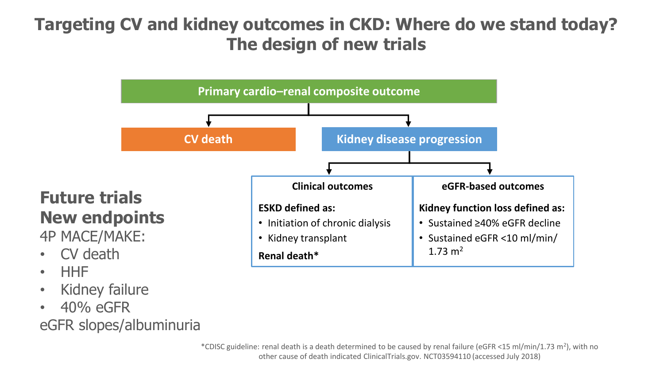#### **Targeting CV and kidney outcomes in CKD: Where do we stand today? The design of new trials**



- Kidney failure
- 40% eGFR

• HHF

eGFR slopes/albuminuria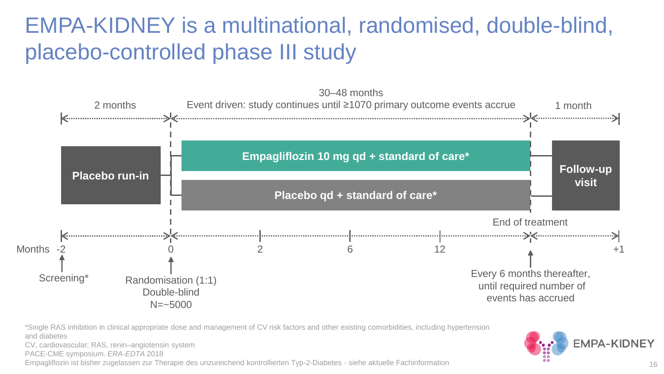### EMPA-KIDNEY is a multinational, randomised, double-blind, placebo-controlled phase III study



\*Single RAS inhibition in clinical appropriate dose and management of CV risk factors and other existing comorbidities, including hypertension and diabetes

CV, cardiovascular; RAS, renin–angiotensin system

PACE-CME symposium. *ERA-EDTA* 2018

Empagliflozin ist bisher zugelassen zur Therapie des unzureichend kontrollierten Typ-2-Diabetes - siehe aktuelle Fachinformation

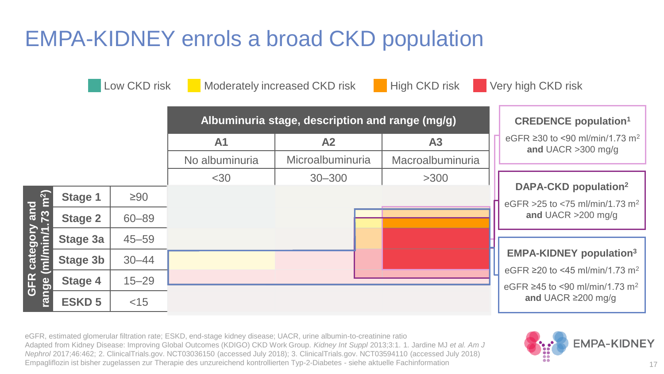### EMPA-KIDNEY enrols a broad CKD population

**Low CKD risk Conducted Moderately increased CKD risk Conducted High CKD risk Conducted Very high CKD risk** 

|                                                                                 | Albuminuria stage, description and range (mg/g) |           |                |                  |                  | <b>CREDENCE population<sup>1</sup></b>                                                   |
|---------------------------------------------------------------------------------|-------------------------------------------------|-----------|----------------|------------------|------------------|------------------------------------------------------------------------------------------|
|                                                                                 |                                                 |           | A <sub>1</sub> | A <sub>2</sub>   | A3               | eGFR ≥30 to <90 ml/min/1.73 m <sup>2</sup><br>and UACR $>300$ mg/g                       |
|                                                                                 |                                                 |           | No albuminuria | Microalbuminuria | Macroalbuminuria |                                                                                          |
|                                                                                 |                                                 |           | $<$ 30         | $30 - 300$       | >300             | DAPA-CKD population <sup>2</sup>                                                         |
| and<br>$\frac{1}{23}$ m <sup>2</sup> )<br>category<br>ml/min/1.<br>GFR<br>nge ( | Stage 1                                         | $\geq 90$ |                |                  |                  | eGFR > 25 to < 75 ml/min/1.73 m <sup>2</sup>                                             |
|                                                                                 | <b>Stage 2</b>                                  | $60 - 89$ |                |                  |                  | and UACR $>200$ mg/g                                                                     |
|                                                                                 | Stage 3a                                        | $45 - 59$ |                |                  |                  |                                                                                          |
|                                                                                 | <b>Stage 3b</b>                                 | $30 - 44$ |                |                  |                  | <b>EMPA-KIDNEY population3</b>                                                           |
|                                                                                 | Stage 4                                         | $15 - 29$ |                |                  |                  | eGFR ≥20 to <45 ml/min/1.73 m <sup>2</sup><br>eGFR ≥45 to <90 ml/min/1.73 m <sup>2</sup> |
| Γ,                                                                              | <b>ESKD 5</b>                                   | $<$ 15    |                |                  |                  | and UACR $\geq$ 200 mg/g                                                                 |

eGFR, estimated glomerular filtration rate; ESKD, end-stage kidney disease; UACR, urine albumin-to-creatinine ratio Adapted from Kidney Disease: Improving Global Outcomes (KDIGO) CKD Work Group. *Kidney Int Suppl* 2013;3:1. 1. Jardine MJ *et al. Am J Nephrol* 2017;46:462; 2. ClinicalTrials.gov. NCT03036150 (accessed July 2018); 3. ClinicalTrials.gov. NCT03594110 (accessed July 2018) Empagliflozin ist bisher zugelassen zur Therapie des unzureichend kontrollierten Typ-2-Diabetes - siehe aktuelle Fachinformation **17**